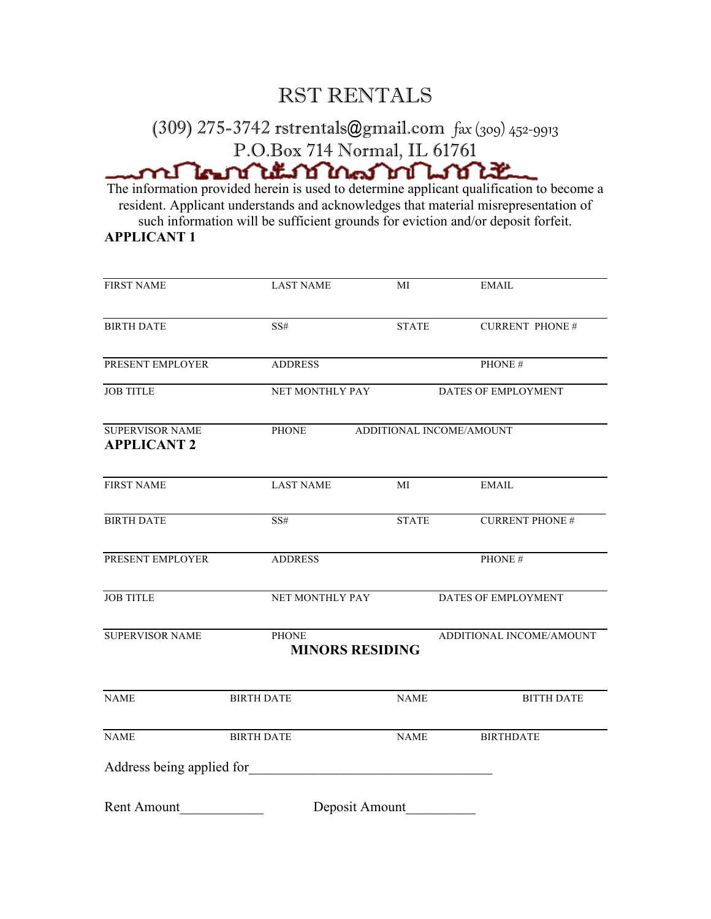## RST RENTALS

## (309) 275-3742 rstrentals@gmail.com fax (309) 452-9913 P.O.Box 714 Normal, IL 61761

The information provided herein is used to determine applicant qualification to become a resident. Applicant understands and acknowledges that material misrepresentation of such information will be sufficient grounds for eviction and/or deposit forfeit. **APPLICANT 1**

| <b>FIRST NAME</b>                            | <b>LAST NAME</b>                                                   | MI             | <b>EMAIL</b>           |  |  |
|----------------------------------------------|--------------------------------------------------------------------|----------------|------------------------|--|--|
|                                              |                                                                    |                |                        |  |  |
| <b>BIRTH DATE</b>                            | SS#                                                                | <b>STATE</b>   | <b>CURRENT PHONE#</b>  |  |  |
| PRESENT EMPLOYER                             | <b>ADDRESS</b>                                                     |                | PHONE #                |  |  |
| <b>JOB TITLE</b>                             | NET MONTHLY PAY                                                    |                | DATES OF EMPLOYMENT    |  |  |
| <b>SUPERVISOR NAME</b><br><b>APPLICANT 2</b> | PHONE<br>ADDITIONAL INCOME/AMOUNT                                  |                |                        |  |  |
| <b>FIRST NAME</b>                            | <b>LAST NAME</b>                                                   | МI             | <b>EMAIL</b>           |  |  |
| <b>BIRTH DATE</b>                            | SS#                                                                | <b>STATE</b>   | <b>CURRENT PHONE #</b> |  |  |
| PRESENT EMPLOYER                             | <b>ADDRESS</b>                                                     |                | PHONE #                |  |  |
| <b>JOB TITLE</b>                             | NET MONTHLY PAY                                                    |                | DATES OF EMPLOYMENT    |  |  |
| <b>SUPERVISOR NAME</b>                       | ADDITIONAL INCOME/AMOUNT<br><b>PHONE</b><br><b>MINORS RESIDING</b> |                |                        |  |  |
| <b>NAME</b>                                  | <b>BIRTH DATE</b>                                                  | <b>NAME</b>    | <b>BITTH DATE</b>      |  |  |
| <b>NAME</b>                                  | <b>BIRTH DATE</b>                                                  | <b>NAME</b>    | <b>BIRTHDATE</b>       |  |  |
| Address being applied for                    |                                                                    |                |                        |  |  |
| <b>Rent Amount</b>                           |                                                                    | Deposit Amount |                        |  |  |